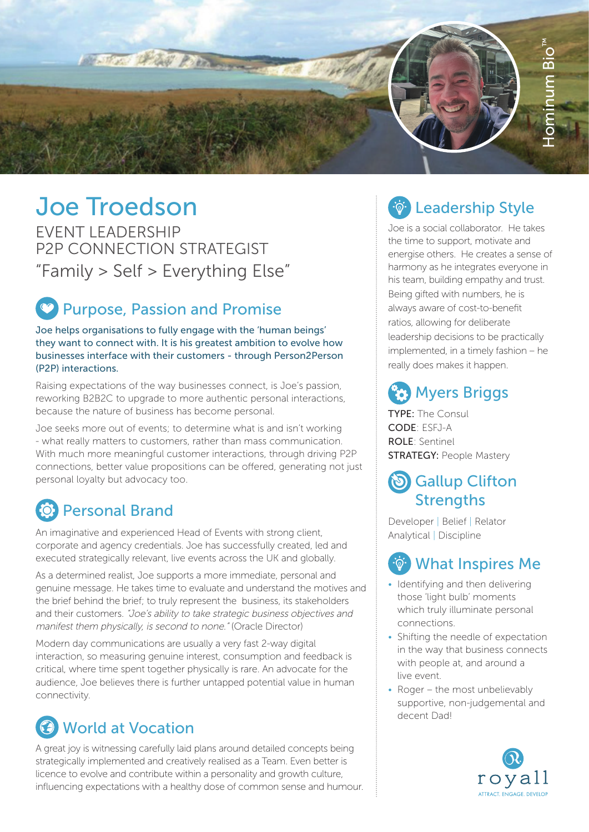

# Joe Troedson

EVENT LEADERSHIP P2P CONNECTION STRATEGIST " Family > Self > Everything Else"

### **Purpose, Passion and Promise**

Joe helps organisations to fully engage with the 'human beings' they want to connect with. It is his greatest ambition to evolve how businesses interface with their customers - through Person2Person (P2P) interactions.

Raising expectations of the way businesses connect, is Joe's passion, reworking B2B2C to upgrade to more authentic personal interactions, because the nature of business has become personal.

Joe seeks more out of events; to determine what is and isn't working - what really matters to customers, rather than mass communication. With much more meaningful customer interactions, through driving P2P connections, better value propositions can be offered, generating not just personal loyalty but advocacy too.

### Personal Brand

An imaginative and experienced Head of Events with strong client, corporate and agency credentials. Joe has successfully created, led and executed strategically relevant, live events across the UK and globally.

As a determined realist, Joe supports a more immediate, personal and genuine message. He takes time to evaluate and understand the motives and the brief behind the brief; to truly represent the business, its stakeholders and their customers. "Joe's ability to take strategic business objectives and manifest them physically, is second to none." (Oracle Director)

Modern day communications are usually a very fast 2-way digital interaction, so measuring genuine interest, consumption and feedback is critical, where time spent together physically is rare. An advocate for the audience, Joe believes there is further untapped potential value in human connectivity.

# **C** World at Vocation

A great joy is witnessing carefully laid plans around detailed concepts being strategically implemented and creatively realised as a Team. Even better is licence to evolve and contribute within a personality and growth culture, influencing expectations with a healthy dose of common sense and humour.

### **EDE: Leadership Style**

Joe is a social collaborator. He takes the time to support, motivate and energise others. He creates a sense of harmony as he integrates everyone in his team, building empathy and trust. Being gifted with numbers, he is always aware of cost-to-benefit ratios, allowing for deliberate leadership decisions to be practically implemented, in a timely fashion – he really does makes it happen.

# **(27)** Myers Briggs

TYPE: The Consul CODE: ESFJ-A ROLE: Sentinel STRATEGY: People Mastery

#### **(b)** Gallup Clifton **Strengths**

Developer | Belief | Relator Analytical | Discipline

# What Inspires Me

- Identifying and then delivering those 'light bulb' moments which truly illuminate personal connections.
- Shifting the needle of expectation in the way that business connects with people at, and around a live event.
- Roger the most unbelievably supportive, non-judgemental and decent Dad!